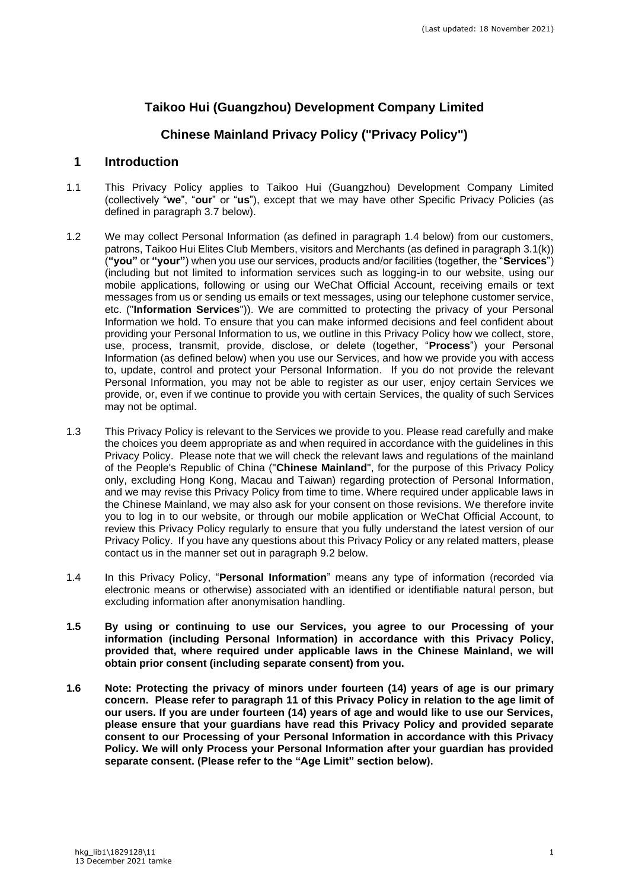# **Taikoo Hui (Guangzhou) Development Company Limited**

# **Chinese Mainland Privacy Policy ("Privacy Policy")**

#### **1 Introduction**

- <span id="page-0-0"></span>1.1 This Privacy Policy applies to Taikoo Hui (Guangzhou) Development Company Limited (collectively "**we**", "**our**" or "**us**"), except that we may have other Specific Privacy Policies (as defined in paragraph 3.7 below).
- 1.2 We may collect Personal Information (as defined in paragraph 1.4 below) from our customers, patrons, Taikoo Hui Elites Club Members, visitors and Merchants (as defined in paragraph [3.1\(k\)\)](#page-3-0) (**"you"** or **"your"**) when you use our services, products and/or facilities (together, the "**Services**") (including but not limited to information services such as logging-in to our website, using our mobile applications, following or using our WeChat Official Account, receiving emails or text messages from us or sending us emails or text messages, using our telephone customer service, etc. ("**Information Services**")). We are committed to protecting the privacy of your Personal Information we hold. To ensure that you can make informed decisions and feel confident about providing your Personal Information to us, we outline in this Privacy Policy how we collect, store, use, process, transmit, provide, disclose, or delete (together, "**Process**") your Personal Information (as defined below) when you use our Services, and how we provide you with access to, update, control and protect your Personal Information. If you do not provide the relevant Personal Information, you may not be able to register as our user, enjoy certain Services we provide, or, even if we continue to provide you with certain Services, the quality of such Services may not be optimal.
- 1.3 This Privacy Policy is relevant to the Services we provide to you. Please read carefully and make the choices you deem appropriate as and when required in accordance with the guidelines in this Privacy Policy. Please note that we will check the relevant laws and regulations of the mainland of the People's Republic of China ("**Chinese Mainland**", for the purpose of this Privacy Policy only, excluding Hong Kong, Macau and Taiwan) regarding protection of Personal Information, and we may revise this Privacy Policy from time to time. Where required under applicable laws in the Chinese Mainland, we may also ask for your consent on those revisions. We therefore invite you to log in to our website, or through our mobile application or WeChat Official Account, to review this Privacy Policy regularly to ensure that you fully understand the latest version of our Privacy Policy. If you have any questions about this Privacy Policy or any related matters, please contact us in the manner set out in paragraph [9.2](#page-8-0) below.
- 1.4 In this Privacy Policy, "**Personal Information**" means any type of information (recorded via electronic means or otherwise) associated with an identified or identifiable natural person, but excluding information after anonymisation handling.
- **1.5 By using or continuing to use our Services, you agree to our Processing of your information (including Personal Information) in accordance with this Privacy Policy, provided that, where required under applicable laws in the Chinese Mainland, we will obtain prior consent (including separate consent) from you.**
- **1.6 Note: Protecting the privacy of minors under fourteen (14) years of age is our primary concern. Please refer to paragraph [11](#page-9-0) of this Privacy Policy in relation to the age limit of our users. If you are under fourteen (14) years of age and would like to use our Services, please ensure that your guardians have read this Privacy Policy and provided separate consent to our Processing of your Personal Information in accordance with this Privacy Policy. We will only Process your Personal Information after your guardian has provided separate consent. (Please refer to the "Age Limit" section below).**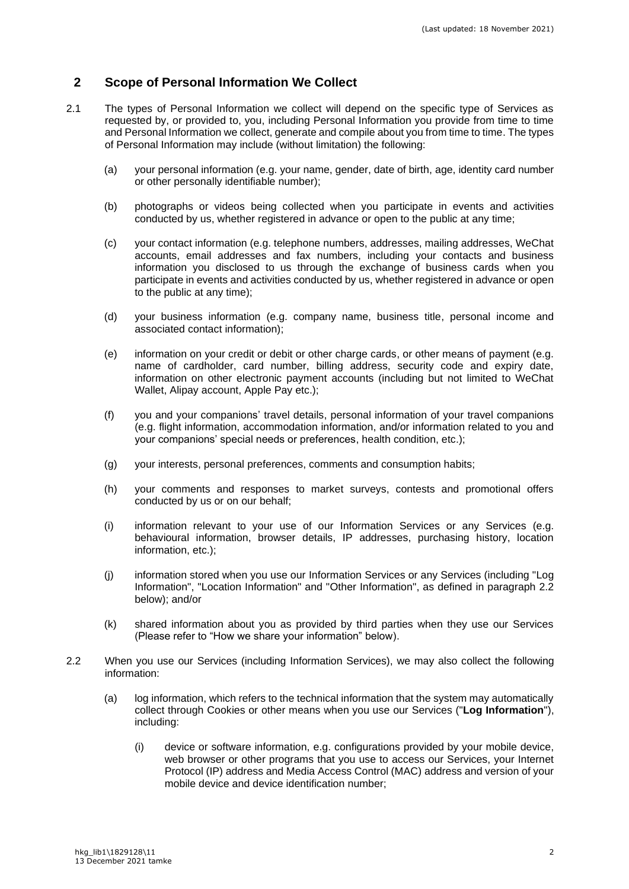## **2 Scope of Personal Information We Collect**

- 2.1 The types of Personal Information we collect will depend on the specific type of Services as requested by, or provided to, you, including Personal Information you provide from time to time and Personal Information we collect, generate and compile about you from time to time. The types of Personal Information may include (without limitation) the following:
	- (a) your personal information (e.g. your name, gender, date of birth, age, identity card number or other personally identifiable number);
	- (b) photographs or videos being collected when you participate in events and activities conducted by us, whether registered in advance or open to the public at any time;
	- (c) your contact information (e.g. telephone numbers, addresses, mailing addresses, WeChat accounts, email addresses and fax numbers, including your contacts and business information you disclosed to us through the exchange of business cards when you participate in events and activities conducted by us, whether registered in advance or open to the public at any time);
	- (d) your business information (e.g. company name, business title, personal income and associated contact information);
	- (e) information on your credit or debit or other charge cards, or other means of payment (e.g. name of cardholder, card number, billing address, security code and expiry date, information on other electronic payment accounts (including but not limited to WeChat Wallet, Alipay account, Apple Pay etc.);
	- (f) you and your companions' travel details, personal information of your travel companions (e.g. flight information, accommodation information, and/or information related to you and your companions' special needs or preferences, health condition, etc.);
	- (g) your interests, personal preferences, comments and consumption habits;
	- (h) your comments and responses to market surveys, contests and promotional offers conducted by us or on our behalf;
	- (i) information relevant to your use of our Information Services or any Services (e.g. behavioural information, browser details, IP addresses, purchasing history, location information, etc.);
	- (j) information stored when you use our Information Services or any Services (including "Log Information", "Location Information" and "Other Information", as defined in paragraph 2.2 below); and/or
	- (k) shared information about you as provided by third parties when they use our Services (Please refer to "How we share your information" below).
- 2.2 When you use our Services (including Information Services), we may also collect the following information:
	- (a) log information, which refers to the technical information that the system may automatically collect through Cookies or other means when you use our Services ("**Log Information**"), including:
		- (i) device or software information, e.g. configurations provided by your mobile device, web browser or other programs that you use to access our Services, your Internet Protocol (IP) address and Media Access Control (MAC) address and version of your mobile device and device identification number;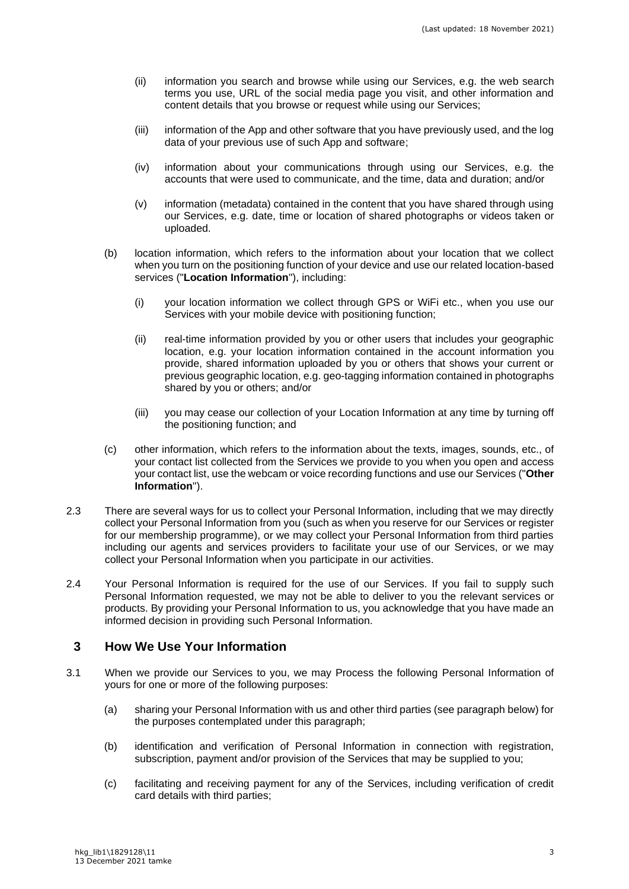- (ii) information you search and browse while using our Services, e.g. the web search terms you use, URL of the social media page you visit, and other information and content details that you browse or request while using our Services;
- (iii) information of the App and other software that you have previously used, and the log data of your previous use of such App and software;
- (iv) information about your communications through using our Services, e.g. the accounts that were used to communicate, and the time, data and duration; and/or
- (v) information (metadata) contained in the content that you have shared through using our Services, e.g. date, time or location of shared photographs or videos taken or uploaded.
- (b) location information, which refers to the information about your location that we collect when you turn on the positioning function of your device and use our related location-based services ("**Location Information**"), including:
	- (i) your location information we collect through GPS or WiFi etc., when you use our Services with your mobile device with positioning function;
	- (ii) real-time information provided by you or other users that includes your geographic location, e.g. your location information contained in the account information you provide, shared information uploaded by you or others that shows your current or previous geographic location, e.g. geo-tagging information contained in photographs shared by you or others; and/or
	- (iii) you may cease our collection of your Location Information at any time by turning off the positioning function; and
- (c) other information, which refers to the information about the texts, images, sounds, etc., of your contact list collected from the Services we provide to you when you open and access your contact list, use the webcam or voice recording functions and use our Services ("**Other Information**").
- 2.3 There are several ways for us to collect your Personal Information, including that we may directly collect your Personal Information from you (such as when you reserve for our Services or register for our membership programme), or we may collect your Personal Information from third parties including our agents and services providers to facilitate your use of our Services, or we may collect your Personal Information when you participate in our activities.
- 2.4 Your Personal Information is required for the use of our Services. If you fail to supply such Personal Information requested, we may not be able to deliver to you the relevant services or products. By providing your Personal Information to us, you acknowledge that you have made an informed decision in providing such Personal Information.

## **3 How We Use Your Information**

- 3.1 When we provide our Services to you, we may Process the following Personal Information of yours for one or more of the following purposes:
	- (a) sharing your Personal Information with us and other third parties (see paragraph below) for the purposes contemplated under this paragraph;
	- (b) identification and verification of Personal Information in connection with registration, subscription, payment and/or provision of the Services that may be supplied to you;
	- (c) facilitating and receiving payment for any of the Services, including verification of credit card details with third parties;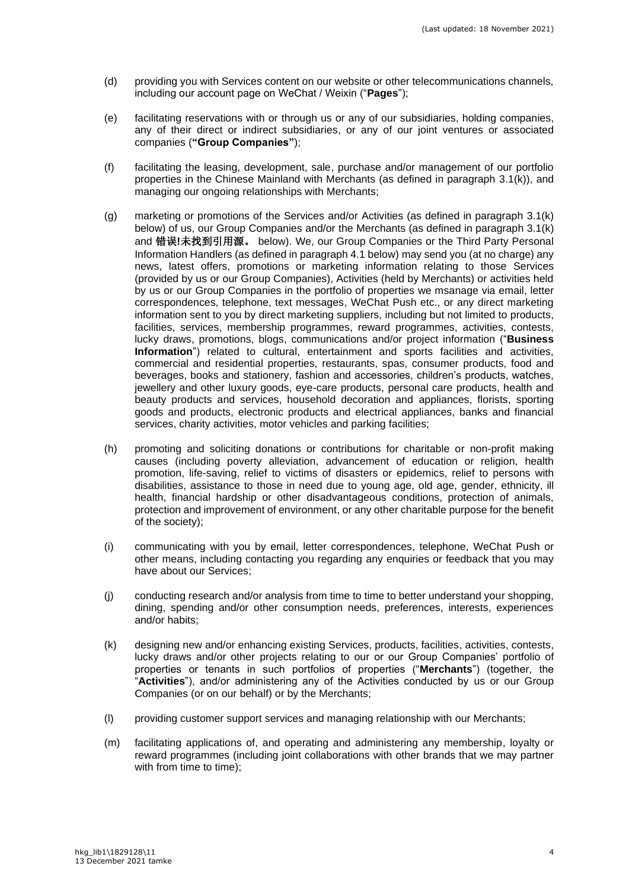- (d) providing you with Services content on our website or other telecommunications channels, including our account page on WeChat / Weixin ("**Pages**");
- (e) facilitating reservations with or through us or any of our subsidiaries, holding companies, any of their direct or indirect subsidiaries, or any of our joint ventures or associated companies (**"Group Companies"**);
- (f) facilitating the leasing, development, sale, purchase and/or management of our portfolio properties in the Chinese Mainland with Merchants (as defined in paragraph [3.1\(k\)\)](#page-3-0), and managing our ongoing relationships with Merchants;
- (g) marketing or promotions of the Services and/or Activities (as defined in paragraph [3.1\(k\)](#page-3-0) below) of us, our Group Companies and/or the Merchants (as defined in paragraph [3.1\(k\)](#page-3-0) and 错误**!**未找到引用源。 below). We, our Group Companies or the Third Party Personal Information Handlers (as defined in paragraph 4.1 below) may send you (at no charge) any news, latest offers, promotions or marketing information relating to those Services (provided by us or our Group Companies), Activities (held by Merchants) or activities held by us or our Group Companies in the portfolio of properties we msanage via email, letter correspondences, telephone, text messages, WeChat Push etc., or any direct marketing information sent to you by direct marketing suppliers, including but not limited to products, facilities, services, membership programmes, reward programmes, activities, contests, lucky draws, promotions, blogs, communications and/or project information ("**Business Information**") related to cultural, entertainment and sports facilities and activities, commercial and residential properties, restaurants, spas, consumer products, food and beverages, books and stationery, fashion and accessories, children's products, watches, jewellery and other luxury goods, eye-care products, personal care products, health and beauty products and services, household decoration and appliances, florists, sporting goods and products, electronic products and electrical appliances, banks and financial services, charity activities, motor vehicles and parking facilities;
- (h) promoting and soliciting donations or contributions for charitable or non-profit making causes (including poverty alleviation, advancement of education or religion, health promotion, life-saving, relief to victims of disasters or epidemics, relief to persons with disabilities, assistance to those in need due to young age, old age, gender, ethnicity, ill health, financial hardship or other disadvantageous conditions, protection of animals, protection and improvement of environment, or any other charitable purpose for the benefit of the society);
- (i) communicating with you by email, letter correspondences, telephone, WeChat Push or other means, including contacting you regarding any enquiries or feedback that you may have about our Services;
- (j) conducting research and/or analysis from time to time to better understand your shopping, dining, spending and/or other consumption needs, preferences, interests, experiences and/or habits;
- <span id="page-3-0"></span>(k) designing new and/or enhancing existing Services, products, facilities, activities, contests, lucky draws and/or other projects relating to our or our Group Companies' portfolio of properties or tenants in such portfolios of properties ("**Merchants**") (together, the "**Activities**"), and/or administering any of the Activities conducted by us or our Group Companies (or on our behalf) or by the Merchants;
- (l) providing customer support services and managing relationship with our Merchants;
- (m) facilitating applications of, and operating and administering any membership, loyalty or reward programmes (including joint collaborations with other brands that we may partner with from time to time);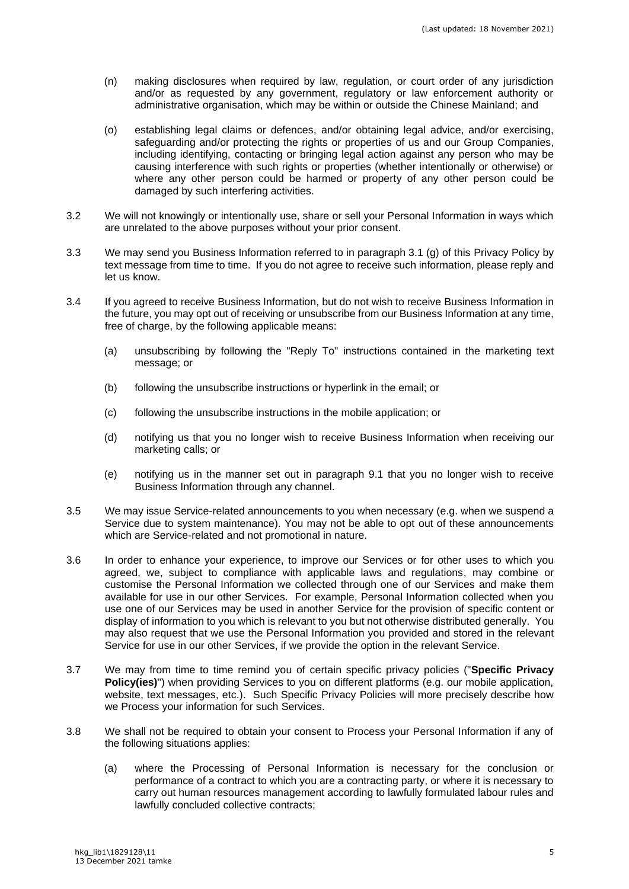- (n) making disclosures when required by law, regulation, or court order of any jurisdiction and/or as requested by any government, regulatory or law enforcement authority or administrative organisation, which may be within or outside the Chinese Mainland; and
- (o) establishing legal claims or defences, and/or obtaining legal advice, and/or exercising, safeguarding and/or protecting the rights or properties of us and our Group Companies, including identifying, contacting or bringing legal action against any person who may be causing interference with such rights or properties (whether intentionally or otherwise) or where any other person could be harmed or property of any other person could be damaged by such interfering activities.
- 3.2 We will not knowingly or intentionally use, share or sell your Personal Information in ways which are unrelated to the above purposes without your prior consent.
- 3.3 We may send you Business Information referred to in paragraph 3.1 (g) of this Privacy Policy by text message from time to time. If you do not agree to receive such information, please reply and let us know.
- 3.4 If you agreed to receive Business Information, but do not wish to receive Business Information in the future, you may opt out of receiving or unsubscribe from our Business Information at any time, free of charge, by the following applicable means:
	- (a) unsubscribing by following the "Reply To" instructions contained in the marketing text message; or
	- (b) following the unsubscribe instructions or hyperlink in the email; or
	- (c) following the unsubscribe instructions in the mobile application; or
	- (d) notifying us that you no longer wish to receive Business Information when receiving our marketing calls; or
	- (e) notifying us in the manner set out in paragraph [9.1](#page-7-0) that you no longer wish to receive Business Information through any channel.
- 3.5 We may issue Service-related announcements to you when necessary (e.g. when we suspend a Service due to system maintenance). You may not be able to opt out of these announcements which are Service-related and not promotional in nature.
- 3.6 In order to enhance your experience, to improve our Services or for other uses to which you agreed, we, subject to compliance with applicable laws and regulations, may combine or customise the Personal Information we collected through one of our Services and make them available for use in our other Services. For example, Personal Information collected when you use one of our Services may be used in another Service for the provision of specific content or display of information to you which is relevant to you but not otherwise distributed generally. You may also request that we use the Personal Information you provided and stored in the relevant Service for use in our other Services, if we provide the option in the relevant Service.
- 3.7 We may from time to time remind you of certain specific privacy policies ("**Specific Privacy Policy(ies)**") when providing Services to you on different platforms (e.g. our mobile application, website, text messages, etc.). Such Specific Privacy Policies will more precisely describe how we Process your information for such Services.
- <span id="page-4-0"></span>3.8 We shall not be required to obtain your consent to Process your Personal Information if any of the following situations applies:
	- (a) where the Processing of Personal Information is necessary for the conclusion or performance of a contract to which you are a contracting party, or where it is necessary to carry out human resources management according to lawfully formulated labour rules and lawfully concluded collective contracts;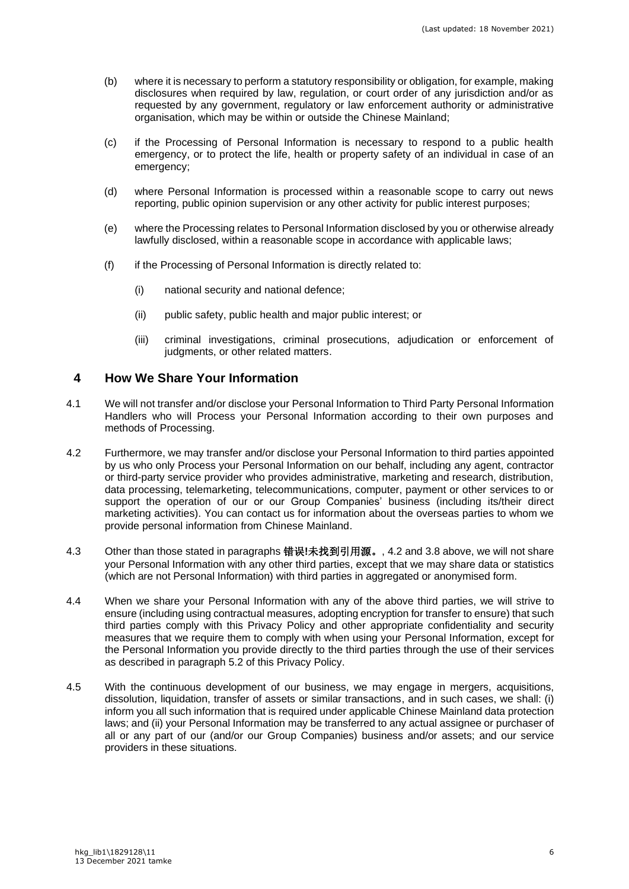- (b) where it is necessary to perform a statutory responsibility or obligation, for example, making disclosures when required by law, regulation, or court order of any jurisdiction and/or as requested by any government, regulatory or law enforcement authority or administrative organisation, which may be within or outside the Chinese Mainland;
- (c) if the Processing of Personal Information is necessary to respond to a public health emergency, or to protect the life, health or property safety of an individual in case of an emergency;
- (d) where Personal Information is processed within a reasonable scope to carry out news reporting, public opinion supervision or any other activity for public interest purposes;
- (e) where the Processing relates to Personal Information disclosed by you or otherwise already lawfully disclosed, within a reasonable scope in accordance with applicable laws;
- (f) if the Processing of Personal Information is directly related to:
	- (i) national security and national defence;
	- (ii) public safety, public health and major public interest; or
	- (iii) criminal investigations, criminal prosecutions, adjudication or enforcement of judgments, or other related matters.

#### **4 How We Share Your Information**

- 4.1 We will not transfer and/or disclose your Personal Information to Third Party Personal Information Handlers who will Process your Personal Information according to their own purposes and methods of Processing.
- <span id="page-5-0"></span>4.2 Furthermore, we may transfer and/or disclose your Personal Information to third parties appointed by us who only Process your Personal Information on our behalf, including any agent, contractor or third-party service provider who provides administrative, marketing and research, distribution, data processing, telemarketing, telecommunications, computer, payment or other services to or support the operation of our or our Group Companies' business (including its/their direct marketing activities). You can contact us for information about the overseas parties to whom we provide personal information from Chinese Mainland.
- 4.3 Other than those stated in paragraphs 错误**!**未找到引用源。, [4.2](#page-5-0) and [3.8](#page-4-0) above, we will not share your Personal Information with any other third parties, except that we may share data or statistics (which are not Personal Information) with third parties in aggregated or anonymised form.
- 4.4 When we share your Personal Information with any of the above third parties, we will strive to ensure (including using contractual measures, adopting encryption for transfer to ensure) that such third parties comply with this Privacy Policy and other appropriate confidentiality and security measures that we require them to comply with when using your Personal Information, except for the Personal Information you provide directly to the third parties through the use of their services as described in paragraph [5.2](#page-6-0) of this Privacy Policy.
- 4.5 With the continuous development of our business, we may engage in mergers, acquisitions, dissolution, liquidation, transfer of assets or similar transactions, and in such cases, we shall: (i) inform you all such information that is required under applicable Chinese Mainland data protection laws; and (ii) your Personal Information may be transferred to any actual assignee or purchaser of all or any part of our (and/or our Group Companies) business and/or assets; and our service providers in these situations.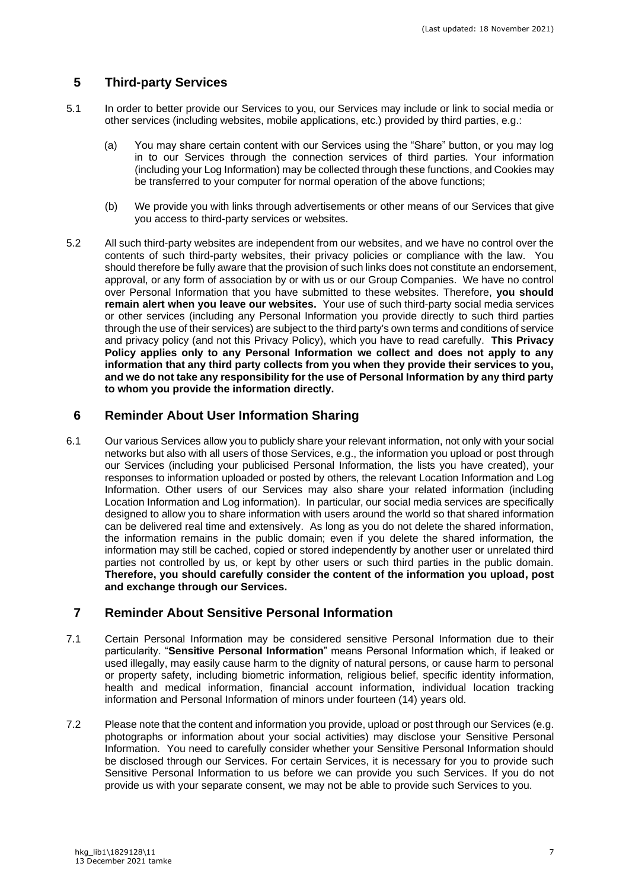# **5 Third-party Services**

- 5.1 In order to better provide our Services to you, our Services may include or link to social media or other services (including websites, mobile applications, etc.) provided by third parties, e.g.:
	- (a) You may share certain content with our Services using the "Share" button, or you may log in to our Services through the connection services of third parties. Your information (including your Log Information) may be collected through these functions, and Cookies may be transferred to your computer for normal operation of the above functions;
	- (b) We provide you with links through advertisements or other means of our Services that give you access to third-party services or websites.
- <span id="page-6-0"></span>5.2 All such third-party websites are independent from our websites, and we have no control over the contents of such third-party websites, their privacy policies or compliance with the law. You should therefore be fully aware that the provision of such links does not constitute an endorsement, approval, or any form of association by or with us or our Group Companies. We have no control over Personal Information that you have submitted to these websites. Therefore, **you should remain alert when you leave our websites.** Your use of such third-party social media services or other services (including any Personal Information you provide directly to such third parties through the use of their services) are subject to the third party's own terms and conditions of service and privacy policy (and not this Privacy Policy), which you have to read carefully. **This Privacy Policy applies only to any Personal Information we collect and does not apply to any information that any third party collects from you when they provide their services to you, and we do not take any responsibility for the use of Personal Information by any third party to whom you provide the information directly.**

# **6 Reminder About User Information Sharing**

6.1 Our various Services allow you to publicly share your relevant information, not only with your social networks but also with all users of those Services, e.g., the information you upload or post through our Services (including your publicised Personal Information, the lists you have created), your responses to information uploaded or posted by others, the relevant Location Information and Log Information. Other users of our Services may also share your related information (including Location Information and Log information). In particular, our social media services are specifically designed to allow you to share information with users around the world so that shared information can be delivered real time and extensively. As long as you do not delete the shared information, the information remains in the public domain; even if you delete the shared information, the information may still be cached, copied or stored independently by another user or unrelated third parties not controlled by us, or kept by other users or such third parties in the public domain. **Therefore, you should carefully consider the content of the information you upload, post and exchange through our Services.**

## **7 Reminder About Sensitive Personal Information**

- 7.1 Certain Personal Information may be considered sensitive Personal Information due to their particularity. "**Sensitive Personal Information**" means Personal Information which, if leaked or used illegally, may easily cause harm to the dignity of natural persons, or cause harm to personal or property safety, including biometric information, religious belief, specific identity information, health and medical information, financial account information, individual location tracking information and Personal Information of minors under fourteen (14) years old.
- 7.2 Please note that the content and information you provide, upload or post through our Services (e.g. photographs or information about your social activities) may disclose your Sensitive Personal Information. You need to carefully consider whether your Sensitive Personal Information should be disclosed through our Services. For certain Services, it is necessary for you to provide such Sensitive Personal Information to us before we can provide you such Services. If you do not provide us with your separate consent, we may not be able to provide such Services to you.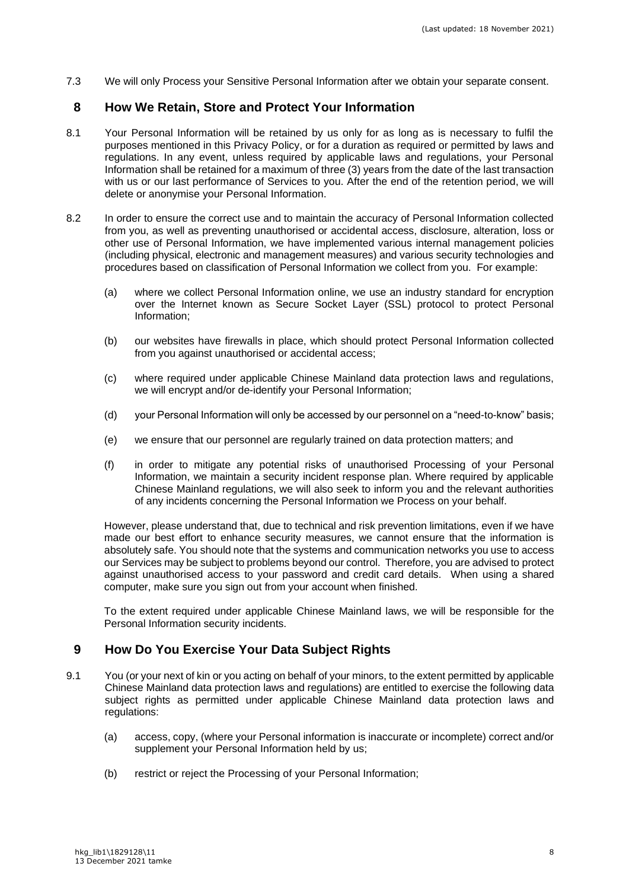7.3 We will only Process your Sensitive Personal Information after we obtain your separate consent.

#### **8 How We Retain, Store and Protect Your Information**

- 8.1 Your Personal Information will be retained by us only for as long as is necessary to fulfil the purposes mentioned in this Privacy Policy, or for a duration as required or permitted by laws and regulations. In any event, unless required by applicable laws and regulations, your Personal Information shall be retained for a maximum of three (3) years from the date of the last transaction with us or our last performance of Services to you. After the end of the retention period, we will delete or anonymise your Personal Information.
- 8.2 In order to ensure the correct use and to maintain the accuracy of Personal Information collected from you, as well as preventing unauthorised or accidental access, disclosure, alteration, loss or other use of Personal Information, we have implemented various internal management policies (including physical, electronic and management measures) and various security technologies and procedures based on classification of Personal Information we collect from you. For example:
	- (a) where we collect Personal Information online, we use an industry standard for encryption over the Internet known as Secure Socket Layer (SSL) protocol to protect Personal Information;
	- (b) our websites have firewalls in place, which should protect Personal Information collected from you against unauthorised or accidental access;
	- (c) where required under applicable Chinese Mainland data protection laws and regulations, we will encrypt and/or de-identify your Personal Information;
	- (d) your Personal Information will only be accessed by our personnel on a "need-to-know" basis;
	- (e) we ensure that our personnel are regularly trained on data protection matters; and
	- (f) in order to mitigate any potential risks of unauthorised Processing of your Personal Information, we maintain a security incident response plan. Where required by applicable Chinese Mainland regulations, we will also seek to inform you and the relevant authorities of any incidents concerning the Personal Information we Process on your behalf.

However, please understand that, due to technical and risk prevention limitations, even if we have made our best effort to enhance security measures, we cannot ensure that the information is absolutely safe. You should note that the systems and communication networks you use to access our Services may be subject to problems beyond our control. Therefore, you are advised to protect against unauthorised access to your password and credit card details. When using a shared computer, make sure you sign out from your account when finished.

To the extent required under applicable Chinese Mainland laws, we will be responsible for the Personal Information security incidents.

## **9 How Do You Exercise Your Data Subject Rights**

- <span id="page-7-0"></span>9.1 You (or your next of kin or you acting on behalf of your minors, to the extent permitted by applicable Chinese Mainland data protection laws and regulations) are entitled to exercise the following data subject rights as permitted under applicable Chinese Mainland data protection laws and regulations:
	- (a) access, copy, (where your Personal information is inaccurate or incomplete) correct and/or supplement your Personal Information held by us;
	- (b) restrict or reject the Processing of your Personal Information;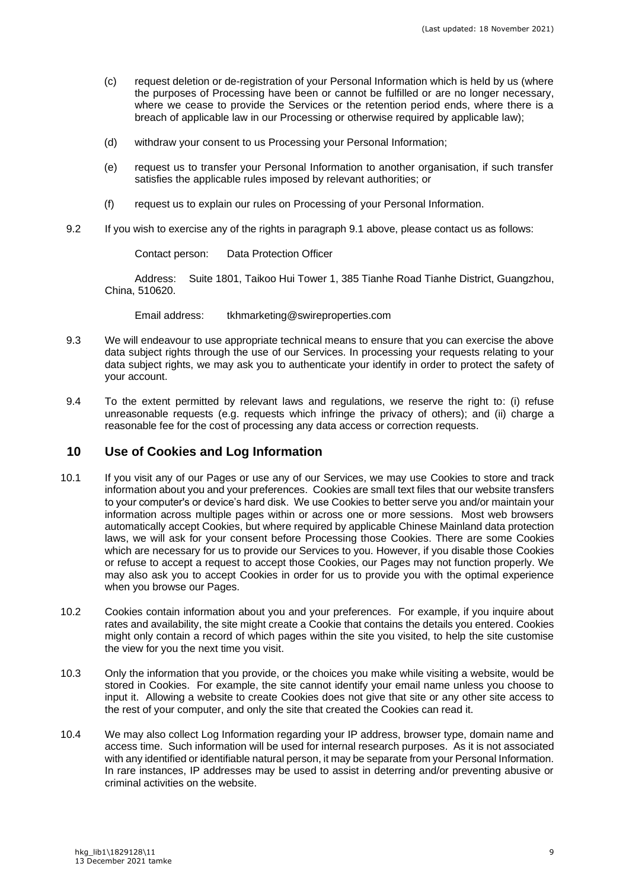- (c) request deletion or de-registration of your Personal Information which is held by us (where the purposes of Processing have been or cannot be fulfilled or are no longer necessary, where we cease to provide the Services or the retention period ends, where there is a breach of applicable law in our Processing or otherwise required by applicable law);
- (d) withdraw your consent to us Processing your Personal Information;
- (e) request us to transfer your Personal Information to another organisation, if such transfer satisfies the applicable rules imposed by relevant authorities; or
- (f) request us to explain our rules on Processing of your Personal Information.
- 9.2 If you wish to exercise any of the rights in paragraph [9.1](#page-7-0) above, please contact us as follows:

<span id="page-8-0"></span>Contact person: Data Protection Officer

Address: Suite 1801, Taikoo Hui Tower 1, 385 Tianhe Road Tianhe District, Guangzhou, China, 510620.

Email address: tkhmarketing@swireproperties.com

- 9.3 We will endeavour to use appropriate technical means to ensure that you can exercise the above data subject rights through the use of our Services. In processing your requests relating to your data subject rights, we may ask you to authenticate your identify in order to protect the safety of your account.
- 9.4 To the extent permitted by relevant laws and regulations, we reserve the right to: (i) refuse unreasonable requests (e.g. requests which infringe the privacy of others); and (ii) charge a reasonable fee for the cost of processing any data access or correction requests.

#### **10 Use of Cookies and Log Information**

- 10.1 If you visit any of our Pages or use any of our Services, we may use Cookies to store and track information about you and your preferences. Cookies are small text files that our website transfers to your computer's or device's hard disk. We use Cookies to better serve you and/or maintain your information across multiple pages within or across one or more sessions. Most web browsers automatically accept Cookies, but where required by applicable Chinese Mainland data protection laws, we will ask for your consent before Processing those Cookies. There are some Cookies which are necessary for us to provide our Services to you. However, if you disable those Cookies or refuse to accept a request to accept those Cookies, our Pages may not function properly. We may also ask you to accept Cookies in order for us to provide you with the optimal experience when you browse our Pages.
- 10.2 Cookies contain information about you and your preferences. For example, if you inquire about rates and availability, the site might create a Cookie that contains the details you entered. Cookies might only contain a record of which pages within the site you visited, to help the site customise the view for you the next time you visit.
- 10.3 Only the information that you provide, or the choices you make while visiting a website, would be stored in Cookies. For example, the site cannot identify your email name unless you choose to input it. Allowing a website to create Cookies does not give that site or any other site access to the rest of your computer, and only the site that created the Cookies can read it.
- 10.4 We may also collect Log Information regarding your IP address, browser type, domain name and access time. Such information will be used for internal research purposes. As it is not associated with any identified or identifiable natural person, it may be separate from your Personal Information. In rare instances, IP addresses may be used to assist in deterring and/or preventing abusive or criminal activities on the website.